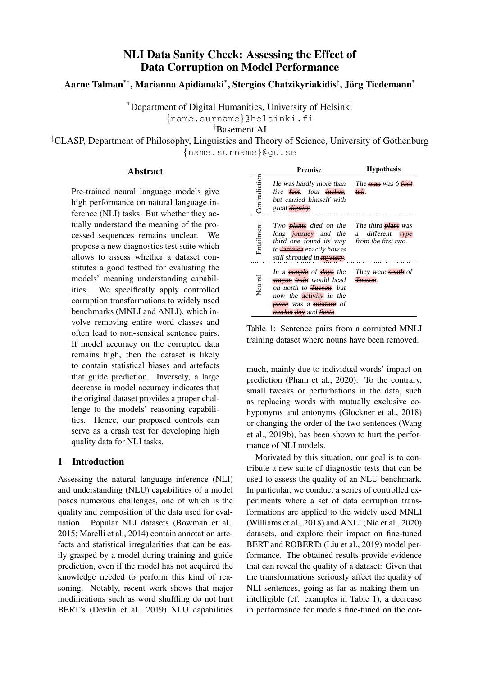# NLI Data Sanity Check: Assessing the Effect of Data Corruption on Model Performance

Aarne Talman\*†, Marianna Apidianaki\*, Stergios Chatzikyriakidis‡, Jörg Tiedemann\*

\*Department of Digital Humanities, University of Helsinki

{name.surname}@helsinki.fi

†Basement AI

‡CLASP, Department of Philosophy, Linguistics and Theory of Science, University of Gothenburg

{name.surname}@gu.se

## Abstract

Pre-trained neural language models give high performance on natural language inference (NLI) tasks. But whether they actually understand the meaning of the processed sequences remains unclear. We propose a new diagnostics test suite which allows to assess whether a dataset constitutes a good testbed for evaluating the models' meaning understanding capabilities. We specifically apply controlled corruption transformations to widely used benchmarks (MNLI and ANLI), which involve removing entire word classes and often lead to non-sensical sentence pairs. If model accuracy on the corrupted data remains high, then the dataset is likely to contain statistical biases and artefacts that guide prediction. Inversely, a large decrease in model accuracy indicates that the original dataset provides a proper challenge to the models' reasoning capabilities. Hence, our proposed controls can serve as a crash test for developing high quality data for NLI tasks.

## 1 Introduction

Assessing the natural language inference (NLI) and understanding (NLU) capabilities of a model poses numerous challenges, one of which is the quality and composition of the data used for evaluation. Popular NLI datasets (Bowman et al., 2015; Marelli et al., 2014) contain annotation artefacts and statistical irregularities that can be easily grasped by a model during training and guide prediction, even if the model has not acquired the knowledge needed to perform this kind of reasoning. Notably, recent work shows that major modifications such as word shuffling do not hurt BERT's (Devlin et al., 2019) NLU capabilities

|               | Premise                                                                                                                                                                                      | <b>Hypothesis</b>                                                     |
|---------------|----------------------------------------------------------------------------------------------------------------------------------------------------------------------------------------------|-----------------------------------------------------------------------|
| Contradiction | He was hardly more than<br>five feet, four inches,<br>but carried himself with<br>great dignity.                                                                                             | The man was 6 foot<br>tall.                                           |
| Entailment    | Two <b>plants</b> died on the<br>long journey and the<br>third one found its way<br>to <b>Jamaica</b> exactly how is<br>still shrouded in <b>mystery</b> .                                   | The third <b>plant</b> was<br>a different type<br>from the first two. |
| Neutral       | In a couple of days the<br>wagon train would head<br>on north to <del>Tueson</del> , but<br>now the <b>activity</b> in the<br>plaza was a <i>mixture</i> of<br><i>market day and fiesta.</i> | They were south of<br>Tueson.                                         |

Table 1: Sentence pairs from a corrupted MNLI training dataset where nouns have been removed.

much, mainly due to individual words' impact on prediction (Pham et al., 2020). To the contrary, small tweaks or perturbations in the data, such as replacing words with mutually exclusive cohyponyms and antonyms (Glockner et al., 2018) or changing the order of the two sentences (Wang et al., 2019b), has been shown to hurt the performance of NLI models.

Motivated by this situation, our goal is to contribute a new suite of diagnostic tests that can be used to assess the quality of an NLU benchmark. In particular, we conduct a series of controlled experiments where a set of data corruption transformations are applied to the widely used MNLI (Williams et al., 2018) and ANLI (Nie et al., 2020) datasets, and explore their impact on fine-tuned BERT and ROBERTa (Liu et al., 2019) model performance. The obtained results provide evidence that can reveal the quality of a dataset: Given that the transformations seriously affect the quality of NLI sentences, going as far as making them unintelligible (cf. examples in Table 1), a decrease in performance for models fine-tuned on the cor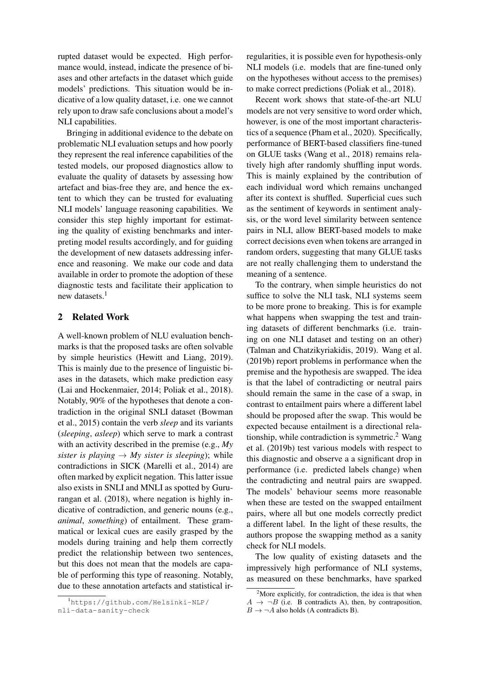rupted dataset would be expected. High performance would, instead, indicate the presence of biases and other artefacts in the dataset which guide models' predictions. This situation would be indicative of a low quality dataset, i.e. one we cannot rely upon to draw safe conclusions about a model's NLI capabilities.

Bringing in additional evidence to the debate on problematic NLI evaluation setups and how poorly they represent the real inference capabilities of the tested models, our proposed diagnostics allow to evaluate the quality of datasets by assessing how artefact and bias-free they are, and hence the extent to which they can be trusted for evaluating NLI models' language reasoning capabilities. We consider this step highly important for estimating the quality of existing benchmarks and interpreting model results accordingly, and for guiding the development of new datasets addressing inference and reasoning. We make our code and data available in order to promote the adoption of these diagnostic tests and facilitate their application to new datasets. $<sup>1</sup>$ </sup>

## 2 Related Work

A well-known problem of NLU evaluation benchmarks is that the proposed tasks are often solvable by simple heuristics (Hewitt and Liang, 2019). This is mainly due to the presence of linguistic biases in the datasets, which make prediction easy (Lai and Hockenmaier, 2014; Poliak et al., 2018). Notably, 90% of the hypotheses that denote a contradiction in the original SNLI dataset (Bowman et al., 2015) contain the verb *sleep* and its variants (*sleeping*, *asleep*) which serve to mark a contrast with an activity described in the premise (e.g., *My sister is playing*  $\rightarrow$  *My sister is sleeping*); while contradictions in SICK (Marelli et al., 2014) are often marked by explicit negation. This latter issue also exists in SNLI and MNLI as spotted by Gururangan et al. (2018), where negation is highly indicative of contradiction, and generic nouns (e.g., *animal*, *something*) of entailment. These grammatical or lexical cues are easily grasped by the models during training and help them correctly predict the relationship between two sentences, but this does not mean that the models are capable of performing this type of reasoning. Notably, due to these annotation artefacts and statistical irregularities, it is possible even for hypothesis-only NLI models (i.e. models that are fine-tuned only on the hypotheses without access to the premises) to make correct predictions (Poliak et al., 2018).

Recent work shows that state-of-the-art NLU models are not very sensitive to word order which, however, is one of the most important characteristics of a sequence (Pham et al., 2020). Specifically, performance of BERT-based classifiers fine-tuned on GLUE tasks (Wang et al., 2018) remains relatively high after randomly shuffling input words. This is mainly explained by the contribution of each individual word which remains unchanged after its context is shuffled. Superficial cues such as the sentiment of keywords in sentiment analysis, or the word level similarity between sentence pairs in NLI, allow BERT-based models to make correct decisions even when tokens are arranged in random orders, suggesting that many GLUE tasks are not really challenging them to understand the meaning of a sentence.

To the contrary, when simple heuristics do not suffice to solve the NLI task, NLI systems seem to be more prone to breaking. This is for example what happens when swapping the test and training datasets of different benchmarks (i.e. training on one NLI dataset and testing on an other) (Talman and Chatzikyriakidis, 2019). Wang et al. (2019b) report problems in performance when the premise and the hypothesis are swapped. The idea is that the label of contradicting or neutral pairs should remain the same in the case of a swap, in contrast to entailment pairs where a different label should be proposed after the swap. This would be expected because entailment is a directional relationship, while contradiction is symmetric.<sup>2</sup> Wang et al. (2019b) test various models with respect to this diagnostic and observe a a significant drop in performance (i.e. predicted labels change) when the contradicting and neutral pairs are swapped. The models' behaviour seems more reasonable when these are tested on the swapped entailment pairs, where all but one models correctly predict a different label. In the light of these results, the authors propose the swapping method as a sanity check for NLI models.

The low quality of existing datasets and the impressively high performance of NLI systems, as measured on these benchmarks, have sparked

<sup>1</sup>https://github.com/Helsinki-NLP/ nli-data-sanity-check

<sup>&</sup>lt;sup>2</sup>More explicitly, for contradiction, the idea is that when  $A \rightarrow \neg B$  (i.e. B contradicts A), then, by contraposition,

 $B \to \neg A$  also holds (A contradicts B).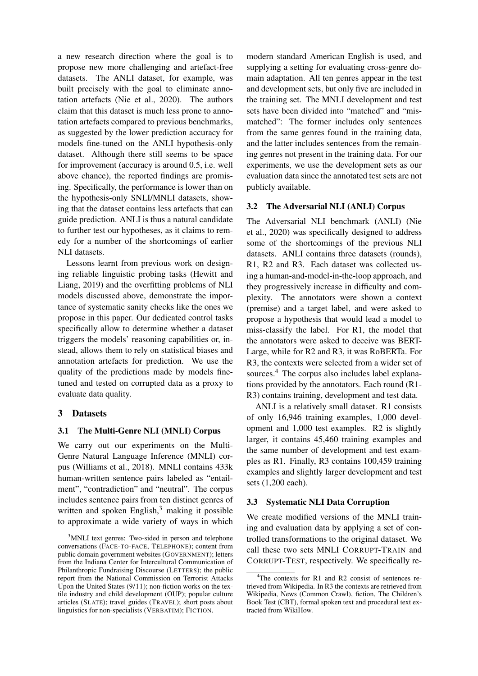a new research direction where the goal is to propose new more challenging and artefact-free datasets. The ANLI dataset, for example, was built precisely with the goal to eliminate annotation artefacts (Nie et al., 2020). The authors claim that this dataset is much less prone to annotation artefacts compared to previous benchmarks, as suggested by the lower prediction accuracy for models fine-tuned on the ANLI hypothesis-only dataset. Although there still seems to be space for improvement (accuracy is around 0.5, i.e. well above chance), the reported findings are promising. Specifically, the performance is lower than on the hypothesis-only SNLI/MNLI datasets, showing that the dataset contains less artefacts that can guide prediction. ANLI is thus a natural candidate to further test our hypotheses, as it claims to remedy for a number of the shortcomings of earlier NLI datasets.

Lessons learnt from previous work on designing reliable linguistic probing tasks (Hewitt and Liang, 2019) and the overfitting problems of NLI models discussed above, demonstrate the importance of systematic sanity checks like the ones we propose in this paper. Our dedicated control tasks specifically allow to determine whether a dataset triggers the models' reasoning capabilities or, instead, allows them to rely on statistical biases and annotation artefacts for prediction. We use the quality of the predictions made by models finetuned and tested on corrupted data as a proxy to evaluate data quality.

## 3 Datasets

## 3.1 The Multi-Genre NLI (MNLI) Corpus

We carry out our experiments on the Multi-Genre Natural Language Inference (MNLI) corpus (Williams et al., 2018). MNLI contains 433k human-written sentence pairs labeled as "entailment", "contradiction" and "neutral". The corpus includes sentence pairs from ten distinct genres of written and spoken English, $3$  making it possible to approximate a wide variety of ways in which

modern standard American English is used, and supplying a setting for evaluating cross-genre domain adaptation. All ten genres appear in the test and development sets, but only five are included in the training set. The MNLI development and test sets have been divided into "matched" and "mismatched": The former includes only sentences from the same genres found in the training data, and the latter includes sentences from the remaining genres not present in the training data. For our experiments, we use the development sets as our evaluation data since the annotated test sets are not publicly available.

## 3.2 The Adversarial NLI (ANLI) Corpus

The Adversarial NLI benchmark (ANLI) (Nie et al., 2020) was specifically designed to address some of the shortcomings of the previous NLI datasets. ANLI contains three datasets (rounds), R1, R2 and R3. Each dataset was collected using a human-and-model-in-the-loop approach, and they progressively increase in difficulty and complexity. The annotators were shown a context (premise) and a target label, and were asked to propose a hypothesis that would lead a model to miss-classify the label. For R1, the model that the annotators were asked to deceive was BERT-Large, while for R2 and R3, it was RoBERTa. For R3, the contexts were selected from a wider set of sources.<sup>4</sup> The corpus also includes label explanations provided by the annotators. Each round (R1- R3) contains training, development and test data.

ANLI is a relatively small dataset. R1 consists of only 16,946 training examples, 1,000 development and 1,000 test examples. R2 is slightly larger, it contains 45,460 training examples and the same number of development and test examples as R1. Finally, R3 contains 100,459 training examples and slightly larger development and test sets (1,200 each).

## 3.3 Systematic NLI Data Corruption

We create modified versions of the MNLI training and evaluation data by applying a set of controlled transformations to the original dataset. We call these two sets MNLI CORRUPT-TRAIN and CORRUPT-TEST, respectively. We specifically re-

<sup>&</sup>lt;sup>3</sup>MNLI text genres: Two-sided in person and telephone conversations (FACE-TO-FACE, TELEPHONE); content from public domain government websites (GOVERNMENT); letters from the Indiana Center for Intercultural Communication of Philanthropic Fundraising Discourse (LETTERS); the public report from the National Commission on Terrorist Attacks Upon the United States (9/11); non-fiction works on the textile industry and child development (OUP); popular culture articles (SLATE); travel guides (TRAVEL); short posts about linguistics for non-specialists (VERBATIM); FICTION.

<sup>&</sup>lt;sup>4</sup>The contexts for R1 and R2 consist of sentences retrieved from Wikipedia. In R3 the contexts are retrieved from Wikipedia, News (Common Crawl), fiction, The Children's Book Test (CBT), formal spoken text and procedural text extracted from WikiHow.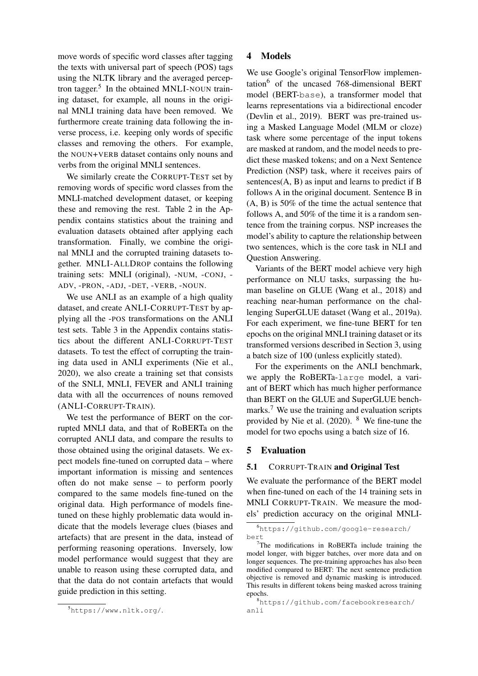move words of specific word classes after tagging the texts with universal part of speech (POS) tags using the NLTK library and the averaged perceptron tagger.<sup>5</sup> In the obtained MNLI-NOUN training dataset, for example, all nouns in the original MNLI training data have been removed. We furthermore create training data following the inverse process, i.e. keeping only words of specific classes and removing the others. For example, the NOUN+VERB dataset contains only nouns and verbs from the original MNLI sentences.

We similarly create the CORRUPT-TEST set by removing words of specific word classes from the MNLI-matched development dataset, or keeping these and removing the rest. Table 2 in the Appendix contains statistics about the training and evaluation datasets obtained after applying each transformation. Finally, we combine the original MNLI and the corrupted training datasets together. MNLI-ALLDROP contains the following training sets: MNLI (original), -NUM, -CONJ, - ADV, -PRON, -ADJ, -DET, -VERB, -NOUN.

We use ANLI as an example of a high quality dataset, and create ANLI-CORRUPT-TEST by applying all the -POS transformations on the ANLI test sets. Table 3 in the Appendix contains statistics about the different ANLI-CORRUPT-TEST datasets. To test the effect of corrupting the training data used in ANLI experiments (Nie et al., 2020), we also create a training set that consists of the SNLI, MNLI, FEVER and ANLI training data with all the occurrences of nouns removed (ANLI-CORRUPT-TRAIN).

We test the performance of BERT on the corrupted MNLI data, and that of RoBERTa on the corrupted ANLI data, and compare the results to those obtained using the original datasets. We expect models fine-tuned on corrupted data – where important information is missing and sentences often do not make sense – to perform poorly compared to the same models fine-tuned on the original data. High performance of models finetuned on these highly problematic data would indicate that the models leverage clues (biases and artefacts) that are present in the data, instead of performing reasoning operations. Inversely, low model performance would suggest that they are unable to reason using these corrupted data, and that the data do not contain artefacts that would guide prediction in this setting.

#### 4 Models

We use Google's original TensorFlow implementation $^{6}$  of the uncased 768-dimensional BERT model (BERT-base), a transformer model that learns representations via a bidirectional encoder (Devlin et al., 2019). BERT was pre-trained using a Masked Language Model (MLM or cloze) task where some percentage of the input tokens are masked at random, and the model needs to predict these masked tokens; and on a Next Sentence Prediction (NSP) task, where it receives pairs of sentences(A, B) as input and learns to predict if B follows A in the original document. Sentence B in (A, B) is 50% of the time the actual sentence that follows A, and 50% of the time it is a random sentence from the training corpus. NSP increases the model's ability to capture the relationship between two sentences, which is the core task in NLI and Question Answering.

Variants of the BERT model achieve very high performance on NLU tasks, surpassing the human baseline on GLUE (Wang et al., 2018) and reaching near-human performance on the challenging SuperGLUE dataset (Wang et al., 2019a). For each experiment, we fine-tune BERT for ten epochs on the original MNLI training dataset or its transformed versions described in Section 3, using a batch size of 100 (unless explicitly stated).

For the experiments on the ANLI benchmark, we apply the RoBERTa-large model, a variant of BERT which has much higher performance than BERT on the GLUE and SuperGLUE benchmarks.<sup>7</sup> We use the training and evaluation scripts provided by Nie et al. (2020). <sup>8</sup> We fine-tune the model for two epochs using a batch size of 16.

## 5 Evaluation

#### 5.1 CORRUPT-TRAIN and Original Test

We evaluate the performance of the BERT model when fine-tuned on each of the 14 training sets in MNLI CORRUPT-TRAIN. We measure the models' prediction accuracy on the original MNLI-

<sup>5</sup>https://www.nltk.org/.

<sup>6</sup>https://github.com/google-research/ bert

 $7$ The modifications in RoBERTa include training the model longer, with bigger batches, over more data and on longer sequences. The pre-training approaches has also been modified compared to BERT: The next sentence prediction objective is removed and dynamic masking is introduced. This results in different tokens being masked across training epochs.

<sup>8</sup>https://github.com/facebookresearch/ anli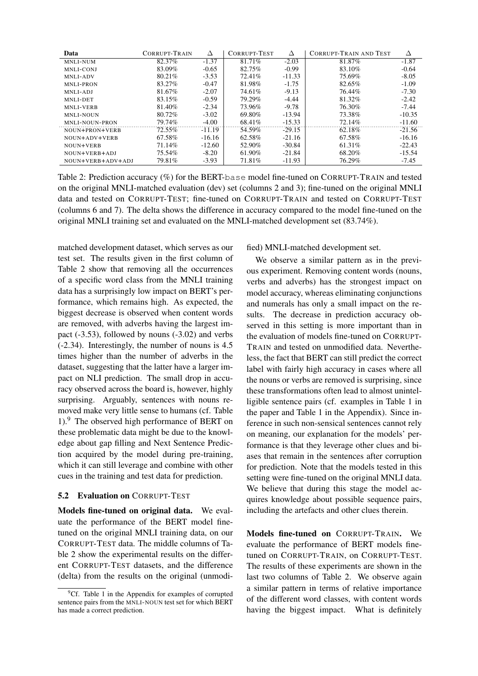| Data                  | CORRUPT-TRAIN | Δ        | CORRUPT-TEST | Δ        | <b>CORRUPT-TRAIN AND TEST</b> | Δ        |
|-----------------------|---------------|----------|--------------|----------|-------------------------------|----------|
| MNLI-NUM              | 82.37%        | $-1.37$  | 81.71%       | $-2.03$  | 81.87%                        | $-1.87$  |
| MNLI-CONJ             | 83.09%        | $-0.65$  | 82.75%       | $-0.99$  | 83.10%                        | $-0.64$  |
| <b>MNLI-ADV</b>       | 80.21%        | $-3.53$  | 72.41%       | $-11.33$ | 75.69%                        | $-8.05$  |
| <b>MNLI-PRON</b>      | 83.27%        | $-0.47$  | 81.98%       | $-1.75$  | 82.65%                        | $-1.09$  |
| MNLI-ADJ              | 81.67%        | $-2.07$  | 74.61%       | $-9.13$  | 76.44%                        | $-7.30$  |
| MNLI-DET              | 83.15%        | $-0.59$  | 79.29%       | $-4.44$  | 81.32%                        | $-2.42$  |
| <b>MNLI-VERB</b>      | 81.40%        | $-2.34$  | 73.96%       | $-9.78$  | 76.30%                        | $-7.44$  |
| MNLI-NOUN             | 80.72%        | $-3.02$  | 69.80%       | $-13.94$ | 73.38%                        | $-10.35$ |
| <b>MNLI-NOUN-PRON</b> | 79.74%        | $-4.00$  | 68.41%       | $-15.33$ | 72.14%                        | $-11.60$ |
| NOUN+PRON+VERB        | 72.55%        | $-11.19$ | 54.59%       | $-29.15$ | 62.18%                        | $-21.56$ |
| NOUN+ADV+VERB         | 67.58%        | $-16.16$ | 62.58%       | $-21.16$ | 67.58%                        | $-16.16$ |
| NOUN+VERB             | 71.14%        | $-12.60$ | 52.90%       | $-30.84$ | 61.31\%                       | $-22.43$ |
| NOUN+VERB+ADJ         | 75.54%        | $-8.20$  | 61.90%       | $-21.84$ | 68.20%                        | $-15.54$ |
| NOUN+VERB+ADV+ADJ     | 79.81%        | $-3.93$  | 71.81%       | $-11.93$ | 76.29%                        | -7.45    |

Table 2: Prediction accuracy (%) for the BERT-base model fine-tuned on CORRUPT-TRAIN and tested on the original MNLI-matched evaluation (dev) set (columns 2 and 3); fine-tuned on the original MNLI data and tested on CORRUPT-TEST; fine-tuned on CORRUPT-TRAIN and tested on CORRUPT-TEST (columns 6 and 7). The delta shows the difference in accuracy compared to the model fine-tuned on the original MNLI training set and evaluated on the MNLI-matched development set (83.74%).

matched development dataset, which serves as our test set. The results given in the first column of Table 2 show that removing all the occurrences of a specific word class from the MNLI training data has a surprisingly low impact on BERT's performance, which remains high. As expected, the biggest decrease is observed when content words are removed, with adverbs having the largest impact (-3.53), followed by nouns (-3.02) and verbs (-2.34). Interestingly, the number of nouns is 4.5 times higher than the number of adverbs in the dataset, suggesting that the latter have a larger impact on NLI prediction. The small drop in accuracy observed across the board is, however, highly surprising. Arguably, sentences with nouns removed make very little sense to humans (cf. Table 1).<sup>9</sup> The observed high performance of BERT on these problematic data might be due to the knowledge about gap filling and Next Sentence Prediction acquired by the model during pre-training, which it can still leverage and combine with other cues in the training and test data for prediction.

## 5.2 Evaluation on CORRUPT-TEST

Models fine-tuned on original data. We evaluate the performance of the BERT model finetuned on the original MNLI training data, on our CORRUPT-TEST data. The middle columns of Table 2 show the experimental results on the different CORRUPT-TEST datasets, and the difference (delta) from the results on the original (unmodified) MNLI-matched development set.

We observe a similar pattern as in the previous experiment. Removing content words (nouns, verbs and adverbs) has the strongest impact on model accuracy, whereas eliminating conjunctions and numerals has only a small impact on the results. The decrease in prediction accuracy observed in this setting is more important than in the evaluation of models fine-tuned on CORRUPT-TRAIN and tested on unmodified data. Nevertheless, the fact that BERT can still predict the correct label with fairly high accuracy in cases where all the nouns or verbs are removed is surprising, since these transformations often lead to almost unintelligible sentence pairs (cf. examples in Table 1 in the paper and Table 1 in the Appendix). Since inference in such non-sensical sentences cannot rely on meaning, our explanation for the models' performance is that they leverage other clues and biases that remain in the sentences after corruption for prediction. Note that the models tested in this setting were fine-tuned on the original MNLI data. We believe that during this stage the model acquires knowledge about possible sequence pairs, including the artefacts and other clues therein.

Models fine-tuned on CORRUPT-TRAIN. We evaluate the performance of BERT models finetuned on CORRUPT-TRAIN, on CORRUPT-TEST. The results of these experiments are shown in the last two columns of Table 2. We observe again a similar pattern in terms of relative importance of the different word classes, with content words having the biggest impact. What is definitely

 ${}^{9}$ Cf. Table 1 in the Appendix for examples of corrupted sentence pairs from the MNLI-NOUN test set for which BERT has made a correct prediction.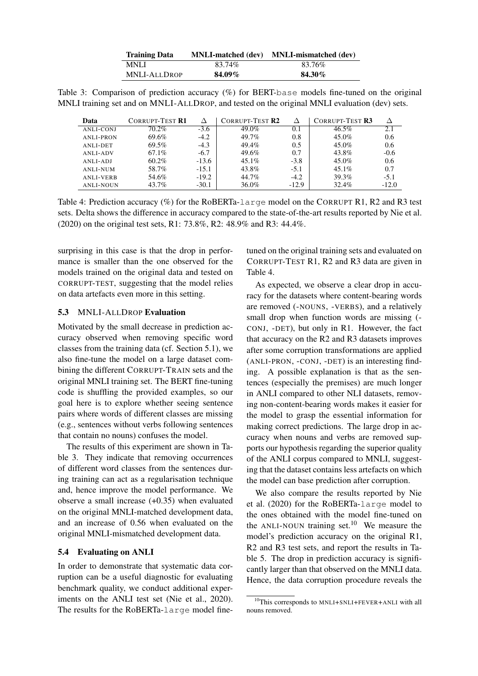| <b>Training Data</b> | <b>MNLI-matched</b> (dev) | <b>MNLI-mismatched (dev)</b> |
|----------------------|---------------------------|------------------------------|
| <b>MNLI</b>          | 83.74%                    | 83.76%                       |
| <b>MNLI-ALLDROP</b>  | 84.09%                    | 84.30%                       |

Table 3: Comparison of prediction accuracy (%) for BERT-base models fine-tuned on the original MNLI training set and on MNLI-ALLDROP, and tested on the original MNLI evaluation (dev) sets.

| Data             | <b>CORRUPT-TEST R1</b> |         | <b>CORRUPT-TEST R2</b> |         | CORRUPT-TEST R3 |         |
|------------------|------------------------|---------|------------------------|---------|-----------------|---------|
| ANLI-CONJ        | 70.2%                  | $-3.6$  | 49.0%                  | 0.1     | $46.5\%$        | 2.1     |
| <b>ANLI-PRON</b> | 69.6%                  | $-4.2$  | 49.7%                  | 0.8     | 45.0%           | 0.6     |
| <b>ANLI-DET</b>  | 69.5%                  | $-4.3$  | $49.4\%$               | 0.5     | 45.0%           | 0.6     |
| ANLI-ADV         | $67.1\%$               | $-6.7$  | 49.6%                  | 0.7     | 43.8%           | $-0.6$  |
| ANLI-ADJ         | $60.2\%$               | $-13.6$ | $45.1\%$               | $-3.8$  | 45.0%           | 0.6     |
| <b>ANLI-NUM</b>  | 58.7%                  | $-15.1$ | 43.8%                  | $-5.1$  | $45.1\%$        | 0.7     |
| <b>ANLI-VERB</b> | 54.6%                  | $-19.2$ | 44.7%                  | $-4.2$  | 39.3%           | $-5.1$  |
| <b>ANLI-NOUN</b> | 43.7%                  | $-30.1$ | 36.0%                  | $-12.9$ | 32.4%           | $-12.0$ |

Table 4: Prediction accuracy (%) for the RoBERTa-large model on the CORRUPT R1, R2 and R3 test sets. Delta shows the difference in accuracy compared to the state-of-the-art results reported by Nie et al. (2020) on the original test sets, R1: 73.8%, R2: 48.9% and R3: 44.4%.

surprising in this case is that the drop in performance is smaller than the one observed for the models trained on the original data and tested on CORRUPT-TEST, suggesting that the model relies on data artefacts even more in this setting.

## 5.3 MNLI-ALLDROP Evaluation

Motivated by the small decrease in prediction accuracy observed when removing specific word classes from the training data (cf. Section 5.1), we also fine-tune the model on a large dataset combining the different CORRUPT-TRAIN sets and the original MNLI training set. The BERT fine-tuning code is shuffling the provided examples, so our goal here is to explore whether seeing sentence pairs where words of different classes are missing (e.g., sentences without verbs following sentences that contain no nouns) confuses the model.

The results of this experiment are shown in Table 3. They indicate that removing occurrences of different word classes from the sentences during training can act as a regularisation technique and, hence improve the model performance. We observe a small increase (+0.35) when evaluated on the original MNLI-matched development data, and an increase of 0.56 when evaluated on the original MNLI-mismatched development data.

#### 5.4 Evaluating on ANLI

In order to demonstrate that systematic data corruption can be a useful diagnostic for evaluating benchmark quality, we conduct additional experiments on the ANLI test set (Nie et al., 2020). The results for the RoBERTa-large model finetuned on the original training sets and evaluated on CORRUPT-TEST R1, R2 and R3 data are given in Table 4.

As expected, we observe a clear drop in accuracy for the datasets where content-bearing words are removed (-NOUNS, -VERBS), and a relatively small drop when function words are missing (- CONJ, -DET), but only in R1. However, the fact that accuracy on the R2 and R3 datasets improves after some corruption transformations are applied (ANLI-PRON, -CONJ, -DET) is an interesting finding. A possible explanation is that as the sentences (especially the premises) are much longer in ANLI compared to other NLI datasets, removing non-content-bearing words makes it easier for the model to grasp the essential information for making correct predictions. The large drop in accuracy when nouns and verbs are removed supports our hypothesis regarding the superior quality of the ANLI corpus compared to MNLI, suggesting that the dataset contains less artefacts on which the model can base prediction after corruption.

We also compare the results reported by Nie et al. (2020) for the RoBERTa-large model to the ones obtained with the model fine-tuned on the ANLI-NOUN training set.<sup>10</sup> We measure the model's prediction accuracy on the original R1, R2 and R3 test sets, and report the results in Table 5. The drop in prediction accuracy is significantly larger than that observed on the MNLI data. Hence, the data corruption procedure reveals the

<sup>&</sup>lt;sup>10</sup>This corresponds to MNLI+SNLI+FEVER+ANLI with all nouns removed.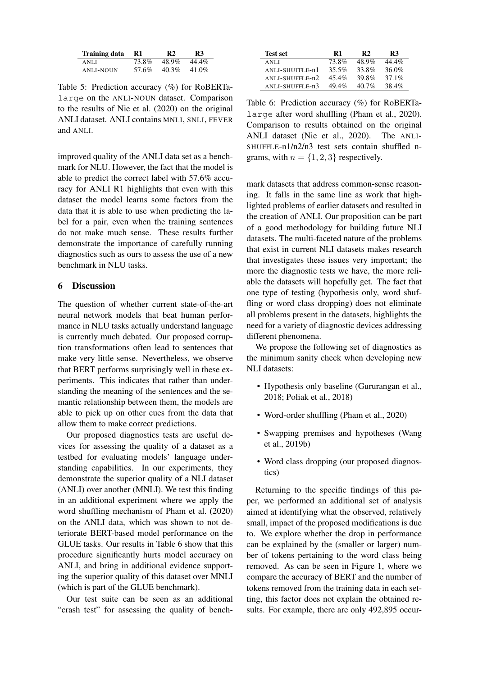| <b>Training data</b> | -R1   | R2       | R3    |
|----------------------|-------|----------|-------|
| ANLI.                | 73.8% | 48.9%    | 44.4% |
| <b>ANLI-NOUN</b>     | 57.6% | $40.3\%$ | 41.0% |

Table 5: Prediction accuracy (%) for RoBERTalarge on the ANLI-NOUN dataset. Comparison to the results of Nie et al. (2020) on the original ANLI dataset. ANLI contains MNLI, SNLI, FEVER and ANLI.

improved quality of the ANLI data set as a benchmark for NLU. However, the fact that the model is able to predict the correct label with 57.6% accuracy for ANLI R1 highlights that even with this dataset the model learns some factors from the data that it is able to use when predicting the label for a pair, even when the training sentences do not make much sense. These results further demonstrate the importance of carefully running diagnostics such as ours to assess the use of a new benchmark in NLU tasks.

## 6 Discussion

The question of whether current state-of-the-art neural network models that beat human performance in NLU tasks actually understand language is currently much debated. Our proposed corruption transformations often lead to sentences that make very little sense. Nevertheless, we observe that BERT performs surprisingly well in these experiments. This indicates that rather than understanding the meaning of the sentences and the semantic relationship between them, the models are able to pick up on other cues from the data that allow them to make correct predictions.

Our proposed diagnostics tests are useful devices for assessing the quality of a dataset as a testbed for evaluating models' language understanding capabilities. In our experiments, they demonstrate the superior quality of a NLI dataset (ANLI) over another (MNLI). We test this finding in an additional experiment where we apply the word shuffling mechanism of Pham et al. (2020) on the ANLI data, which was shown to not deteriorate BERT-based model performance on the GLUE tasks. Our results in Table 6 show that this procedure significantly hurts model accuracy on ANLI, and bring in additional evidence supporting the superior quality of this dataset over MNLI (which is part of the GLUE benchmark).

Our test suite can be seen as an additional "crash test" for assessing the quality of bench-

| <b>Test set</b> | R1       | R2       | R3       |
|-----------------|----------|----------|----------|
| <b>ANLI</b>     | 73.8%    | 48.9%    | $44.4\%$ |
| ANLI-SHUFFLE-n1 | $35.5\%$ | 33.8%    | 36.0%    |
| ANLI-SHUFFLE-n2 | $45.4\%$ | 39.8%    | 37.1%    |
| ANLI-SHUFFLE-n3 | $49.4\%$ | $40.7\%$ | 38.4%    |

Table 6: Prediction accuracy (%) for RoBERTalarge after word shuffling (Pham et al., 2020). Comparison to results obtained on the original ANLI dataset (Nie et al., 2020). The ANLI-SHUFFLE-n1/n2/n3 test sets contain shuffled ngrams, with  $n = \{1, 2, 3\}$  respectively.

mark datasets that address common-sense reasoning. It falls in the same line as work that highlighted problems of earlier datasets and resulted in the creation of ANLI. Our proposition can be part of a good methodology for building future NLI datasets. The multi-faceted nature of the problems that exist in current NLI datasets makes research that investigates these issues very important; the more the diagnostic tests we have, the more reliable the datasets will hopefully get. The fact that one type of testing (hypothesis only, word shuffling or word class dropping) does not eliminate all problems present in the datasets, highlights the need for a variety of diagnostic devices addressing different phenomena.

We propose the following set of diagnostics as the minimum sanity check when developing new NLI datasets:

- Hypothesis only baseline (Gururangan et al., 2018; Poliak et al., 2018)
- Word-order shuffling (Pham et al., 2020)
- Swapping premises and hypotheses (Wang et al., 2019b)
- Word class dropping (our proposed diagnostics)

Returning to the specific findings of this paper, we performed an additional set of analysis aimed at identifying what the observed, relatively small, impact of the proposed modifications is due to. We explore whether the drop in performance can be explained by the (smaller or larger) number of tokens pertaining to the word class being removed. As can be seen in Figure 1, where we compare the accuracy of BERT and the number of tokens removed from the training data in each setting, this factor does not explain the obtained results. For example, there are only 492,895 occur-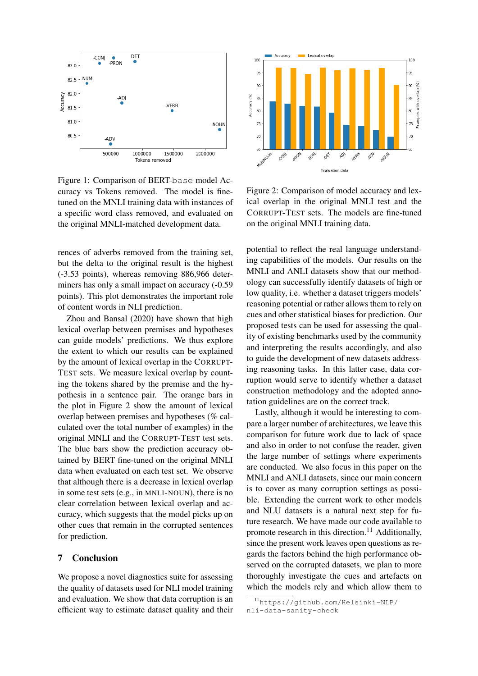

Figure 1: Comparison of BERT-base model Accuracy vs Tokens removed. The model is finetuned on the MNLI training data with instances of a specific word class removed, and evaluated on the original MNLI-matched development data.

rences of adverbs removed from the training set, but the delta to the original result is the highest (-3.53 points), whereas removing 886,966 determiners has only a small impact on accuracy (-0.59 points). This plot demonstrates the important role of content words in NLI prediction.

Zhou and Bansal (2020) have shown that high lexical overlap between premises and hypotheses can guide models' predictions. We thus explore the extent to which our results can be explained by the amount of lexical overlap in the CORRUPT-TEST sets. We measure lexical overlap by counting the tokens shared by the premise and the hypothesis in a sentence pair. The orange bars in the plot in Figure 2 show the amount of lexical overlap between premises and hypotheses (% calculated over the total number of examples) in the original MNLI and the CORRUPT-TEST test sets. The blue bars show the prediction accuracy obtained by BERT fine-tuned on the original MNLI data when evaluated on each test set. We observe that although there is a decrease in lexical overlap in some test sets (e.g., in MNLI-NOUN), there is no clear correlation between lexical overlap and accuracy, which suggests that the model picks up on other cues that remain in the corrupted sentences for prediction.

## 7 Conclusion

We propose a novel diagnostics suite for assessing the quality of datasets used for NLI model training and evaluation. We show that data corruption is an efficient way to estimate dataset quality and their



Figure 2: Comparison of model accuracy and lexical overlap in the original MNLI test and the CORRUPT-TEST sets. The models are fine-tuned on the original MNLI training data.

potential to reflect the real language understanding capabilities of the models. Our results on the MNLI and ANLI datasets show that our methodology can successfully identify datasets of high or low quality, i.e. whether a dataset triggers models' reasoning potential or rather allows them to rely on cues and other statistical biases for prediction. Our proposed tests can be used for assessing the quality of existing benchmarks used by the community and interpreting the results accordingly, and also to guide the development of new datasets addressing reasoning tasks. In this latter case, data corruption would serve to identify whether a dataset construction methodology and the adopted annotation guidelines are on the correct track.

Lastly, although it would be interesting to compare a larger number of architectures, we leave this comparison for future work due to lack of space and also in order to not confuse the reader, given the large number of settings where experiments are conducted. We also focus in this paper on the MNLI and ANLI datasets, since our main concern is to cover as many corruption settings as possible. Extending the current work to other models and NLU datasets is a natural next step for future research. We have made our code available to promote research in this direction.<sup>11</sup> Additionally, since the present work leaves open questions as regards the factors behind the high performance observed on the corrupted datasets, we plan to more thoroughly investigate the cues and artefacts on which the models rely and which allow them to

<sup>11</sup>https://github.com/Helsinki-NLP/ nli-data-sanity-check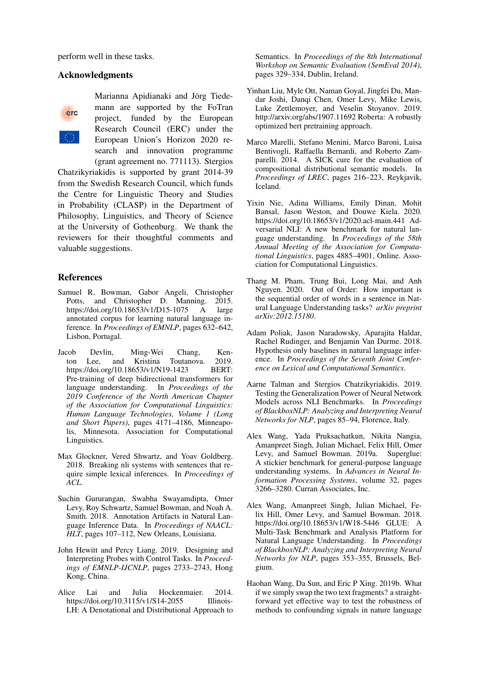perform well in these tasks.

## Acknowledgments



Marianna Apidianaki and Jörg Tiedemann are supported by the FoTran project, funded by the European Research Council (ERC) under the European Union's Horizon 2020 research and innovation programme (grant agreement no. 771113). Stergios

Chatzikyriakidis is supported by grant 2014-39 from the Swedish Research Council, which funds the Centre for Linguistic Theory and Studies in Probability (CLASP) in the Department of Philosophy, Linguistics, and Theory of Science at the University of Gothenburg. We thank the reviewers for their thoughtful comments and valuable suggestions.

## References

- Samuel R. Bowman, Gabor Angeli, Christopher Potts, and Christopher D. Manning. 2015. https://doi.org/10.18653/v1/D15-1075 A large annotated corpus for learning natural language inference. In *Proceedings of EMNLP*, pages 632–642, Lisbon, Portugal.
- Jacob Devlin, Ming-Wei Chang, Kenton Lee, and Kristina Toutanova. 2019. https://doi.org/10.18653/v1/N19-1423 BERT: Pre-training of deep bidirectional transformers for language understanding. In *Proceedings of the 2019 Conference of the North American Chapter of the Association for Computational Linguistics: Human Language Technologies, Volume 1 (Long and Short Papers)*, pages 4171–4186, Minneapolis, Minnesota. Association for Computational Linguistics.
- Max Glockner, Vered Shwartz, and Yoav Goldberg. 2018. Breaking nli systems with sentences that require simple lexical inferences. In *Proceedings of ACL*.
- Suchin Gururangan, Swabha Swayamdipta, Omer Levy, Roy Schwartz, Samuel Bowman, and Noah A. Smith. 2018. Annotation Artifacts in Natural Language Inference Data. In *Proceedings of NAACL: HLT*, pages 107–112, New Orleans, Louisiana.
- John Hewitt and Percy Liang. 2019. Designing and Interpreting Probes with Control Tasks. In *Proceedings of EMNLP-IJCNLP*, pages 2733–2743, Hong Kong, China.
- Alice Lai and Julia Hockenmaier. 2014. https://doi.org/10.3115/v1/S14-2055 Illinois-LH: A Denotational and Distributional Approach to

Semantics. In *Proceedings of the 8th International Workshop on Semantic Evaluation (SemEval 2014)*, pages 329–334, Dublin, Ireland.

- Yinhan Liu, Myle Ott, Naman Goyal, Jingfei Du, Mandar Joshi, Danqi Chen, Omer Levy, Mike Lewis, Luke Zettlemoyer, and Veselin Stoyanov. 2019. http://arxiv.org/abs/1907.11692 Roberta: A robustly optimized bert pretraining approach.
- Marco Marelli, Stefano Menini, Marco Baroni, Luisa Bentivogli, Raffaella Bernardi, and Roberto Zamparelli. 2014. A SICK cure for the evaluation of compositional distributional semantic models. In *Proceedings of LREC*, pages 216–223, Reykjavik, Iceland.
- Yixin Nie, Adina Williams, Emily Dinan, Mohit Bansal, Jason Weston, and Douwe Kiela. 2020. https://doi.org/10.18653/v1/2020.acl-main.441 Adversarial NLI: A new benchmark for natural language understanding. In *Proceedings of the 58th Annual Meeting of the Association for Computational Linguistics*, pages 4885–4901, Online. Association for Computational Linguistics.
- Thang M. Pham, Trung Bui, Long Mai, and Anh Nguyen. 2020. Out of Order: How important is the sequential order of words in a sentence in Natural Language Understanding tasks? *arXiv preprint arXiv:2012.15180*.
- Adam Poliak, Jason Naradowsky, Aparajita Haldar, Rachel Rudinger, and Benjamin Van Durme. 2018. Hypothesis only baselines in natural language inference. In *Proceedings of the Seventh Joint Conference on Lexical and Computational Semantics*.
- Aarne Talman and Stergios Chatzikyriakidis. 2019. Testing the Generalization Power of Neural Network Models across NLI Benchmarks. In *Proceedings of BlackboxNLP: Analyzing and Interpreting Neural Networks for NLP*, pages 85–94, Florence, Italy.
- Alex Wang, Yada Pruksachatkun, Nikita Nangia, Amanpreet Singh, Julian Michael, Felix Hill, Omer Levy, and Samuel Bowman. 2019a. Superglue: A stickier benchmark for general-purpose language understanding systems. In *Advances in Neural Information Processing Systems*, volume 32, pages 3266–3280. Curran Associates, Inc.
- Alex Wang, Amanpreet Singh, Julian Michael, Felix Hill, Omer Levy, and Samuel Bowman. 2018. https://doi.org/10.18653/v1/W18-5446 GLUE: A Multi-Task Benchmark and Analysis Platform for Natural Language Understanding. In *Proceedings of BlackboxNLP: Analyzing and Interpreting Neural Networks for NLP*, pages 353–355, Brussels, Belgium.
- Haohan Wang, Da Sun, and Eric P Xing. 2019b. What if we simply swap the two text fragments? a straightforward yet effective way to test the robustness of methods to confounding signals in nature language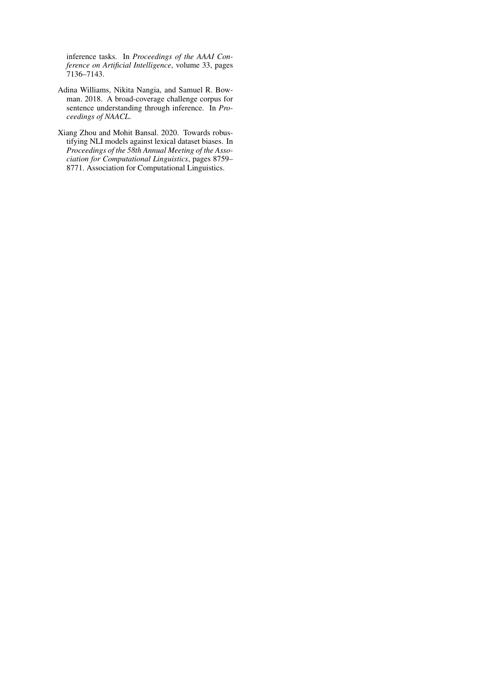inference tasks. In *Proceedings of the AAAI Conference on Artificial Intelligence*, volume 33, pages 7136–7143.

- Adina Williams, Nikita Nangia, and Samuel R. Bowman. 2018. A broad-coverage challenge corpus for sentence understanding through inference. In *Proceedings of NAACL*.
- Xiang Zhou and Mohit Bansal. 2020. Towards robustifying NLI models against lexical dataset biases. In *Proceedings of the 58th Annual Meeting of the Association for Computational Linguistics*, pages 8759– 8771. Association for Computational Linguistics.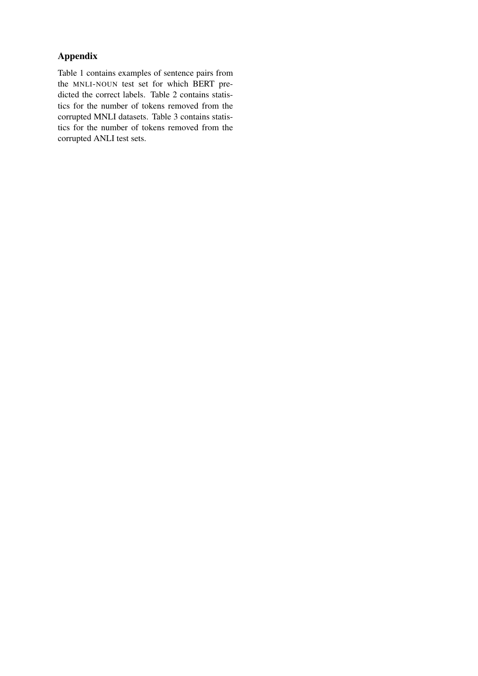# Appendix

Table 1 contains examples of sentence pairs from the MNLI-NOUN test set for which BERT predicted the correct labels. Table 2 contains statistics for the number of tokens removed from the corrupted MNLI datasets. Table 3 contains statistics for the number of tokens removed from the corrupted ANLI test sets.